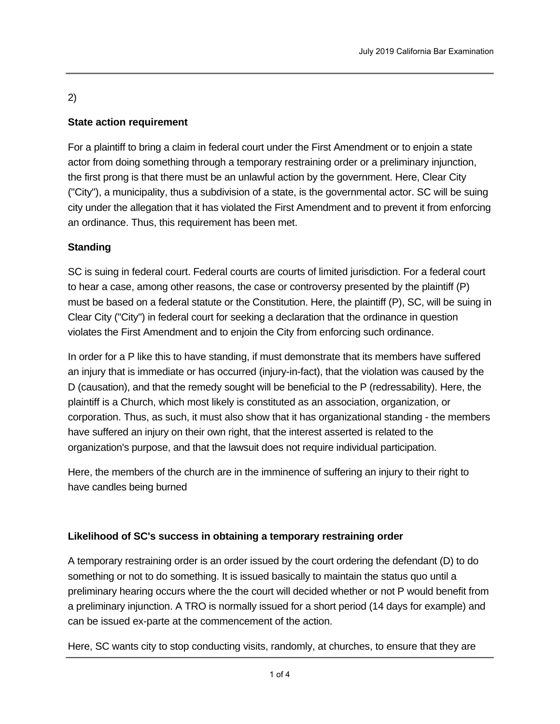# 2)

## **State action requirement**

For a plaintiff to bring a claim in federal court under the First Amendment or to enjoin a state actor from doing something through a temporary restraining order or a preliminary injunction, the first prong is that there must be an unlawful action by the government. Here, Clear City ("City"), a municipality, thus a subdivision of a state, is the governmental actor. SC will be suing city under the allegation that it has violated the First Amendment and to prevent it from enforcing an ordinance. Thus, this requirement has been met.

## **Standing**

SC is suing in federal court. Federal courts are courts of limited jurisdiction. For a federal court to hear a case, among other reasons, the case or controversy presented by the plaintiff (P) must be based on a federal statute or the Constitution. Here, the plaintiff (P), SC, will be suing in Clear City ("City") in federal court for seeking a declaration that the ordinance in question violates the First Amendment and to enjoin the City from enforcing such ordinance.

In order for a P like this to have standing, if must demonstrate that its members have suffered an injury that is immediate or has occurred (injury-in-fact), that the violation was caused by the D (causation), and that the remedy sought will be beneficial to the P (redressability). Here, the plaintiff is a Church, which most likely is constituted as an association, organization, or corporation. Thus, as such, it must also show that it has organizational standing - the members have suffered an injury on their own right, that the interest asserted is related to the organization's purpose, and that the lawsuit does not require individual participation.

Here, the members of the church are in the imminence of suffering an injury to their right to have candles being burned

### **Likelihood of SC's success in obtaining a temporary restraining order**

A temporary restraining order is an order issued by the court ordering the defendant (D) to do something or not to do something. It is issued basically to maintain the status quo until a preliminary hearing occurs where the the court will decided whether or not P would benefit from a preliminary injunction. A TRO is normally issued for a short period (14 days for example) and can be issued ex-parte at the commencement of the action.

Here, SC wants city to stop conducting visits, randomly, at churches, to ensure that they are not burning candidate  $\mathcal{L}_{\mathcal{S}}$  would like  $\mathcal{L}_{\mathcal{S}}$  and  $\mathcal{L}_{\mathcal{S}}$  and  $\mathcal{L}_{\mathcal{S}}$  only, the court period of time only, the court period of time only, the court period of time only, the court period of t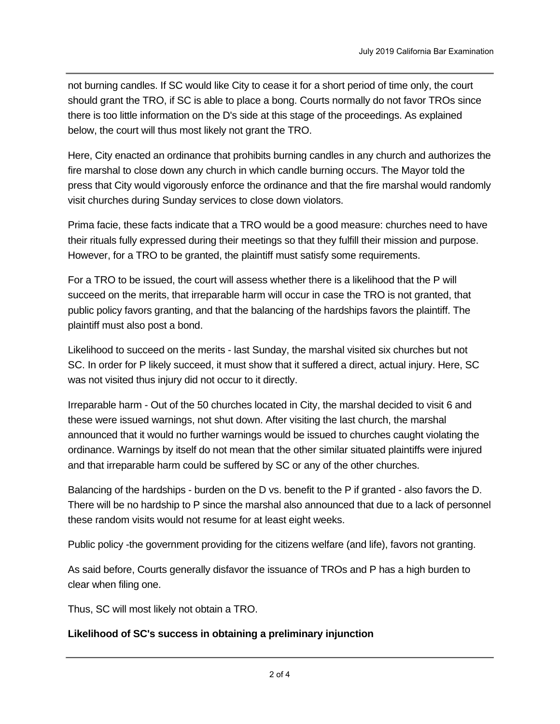not burning candles. If SC would like City to cease it for a short period of time only, the court should grant the TRO, if SC is able to place a bong. Courts normally do not favor TROs since there is too little information on the D's side at this stage of the proceedings. As explained below, the court will thus most likely not grant the TRO.

 $\mathcal{H}_{\text{H}}$  wants city to stop conducting visits, randomly, at churches, to ensure that they are that they are they are they are they are they are they are they are they are they are they are they are they are they are

Here, City enacted an ordinance that prohibits burning candles in any church and authorizes the fire marshal to close down any church in which candle burning occurs. The Mayor told the press that City would vigorously enforce the ordinance and that the fire marshal would randomly visit churches during Sunday services to close down violators.

Prima facie, these facts indicate that a TRO would be a good measure: churches need to have their rituals fully expressed during their meetings so that they fulfill their mission and purpose. However, for a TRO to be granted, the plaintiff must satisfy some requirements.

For a TRO to be issued, the court will assess whether there is a likelihood that the P will succeed on the merits, that irreparable harm will occur in case the TRO is not granted, that public policy favors granting, and that the balancing of the hardships favors the plaintiff. The plaintiff must also post a bond.

Likelihood to succeed on the merits - last Sunday, the marshal visited six churches but not SC. In order for P likely succeed, it must show that it suffered a direct, actual injury. Here, SC was not visited thus injury did not occur to it directly.

Irreparable harm - Out of the 50 churches located in City, the marshal decided to visit 6 and these were issued warnings, not shut down. After visiting the last church, the marshal announced that it would no further warnings would be issued to churches caught violating the ordinance. Warnings by itself do not mean that the other similar situated plaintiffs were injured and that irreparable harm could be suffered by SC or any of the other churches.

Balancing of the hardships - burden on the D vs. benefit to the P if granted - also favors the D. There will be no hardship to P since the marshal also announced that due to a lack of personnel these random visits would not resume for at least eight weeks.

Public policy -the government providing for the citizens welfare (and life), favors not granting.

As said before, Courts generally disfavor the issuance of TROs and P has a high burden to clear when filing one.

Thus, SC will most likely not obtain a TRO.

#### **Likelihood of SC's success in obtaining a preliminary injunction**

 $A$  preliminary injunction (PI) is an order is an order is an order is an order is an order  $\mathcal{O}(1)$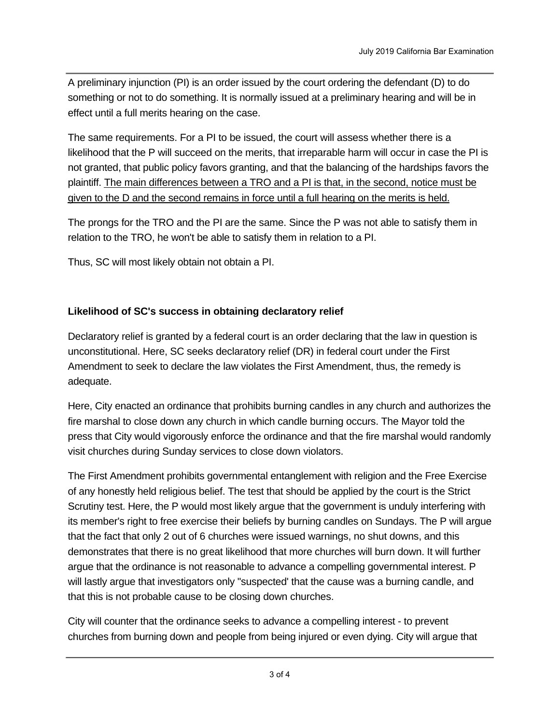A preliminary injunction (PI) is an order issued by the court ordering the defendant (D) to do something or not to do something. It is normally issued at a preliminary hearing and will be in effect until a full merits hearing on the case.

The same requirements. For a PI to be issued, the court will assess whether there is a likelihood that the P will succeed on the merits, that irreparable harm will occur in case the PI is not granted, that public policy favors granting, and that the balancing of the hardships favors the plaintiff. The main differences between a TRO and a PI is that, in the second, notice must be given to the D and the second remains in force until a full hearing on the merits is held.

The prongs for the TRO and the PI are the same. Since the P was not able to satisfy them in relation to the TRO, he won't be able to satisfy them in relation to a PI.

Thus, SC will most likely obtain not obtain a PI.

### **Likelihood of SC's success in obtaining declaratory relief**

Declaratory relief is granted by a federal court is an order declaring that the law in question is unconstitutional. Here, SC seeks declaratory relief (DR) in federal court under the First Amendment to seek to declare the law violates the First Amendment, thus, the remedy is adequate.

Here, City enacted an ordinance that prohibits burning candles in any church and authorizes the fire marshal to close down any church in which candle burning occurs. The Mayor told the press that City would vigorously enforce the ordinance and that the fire marshal would randomly visit churches during Sunday services to close down violators.

The First Amendment prohibits governmental entanglement with religion and the Free Exercise of any honestly held religious belief. The test that should be applied by the court is the Strict Scrutiny test. Here, the P would most likely argue that the government is unduly interfering with its member's right to free exercise their beliefs by burning candles on Sundays. The P will argue that the fact that only 2 out of 6 churches were issued warnings, no shut downs, and this demonstrates that there is no great likelihood that more churches will burn down. It will further argue that the ordinance is not reasonable to advance a compelling governmental interest. P will lastly argue that investigators only "suspected' that the cause was a burning candle, and that this is not probable cause to be closing down churches.

City will counter that the ordinance seeks to advance a compelling interest - to prevent churches from burning down and people from being injured or even dying. City will argue that

electric candles or other similar artifacts that express the burning could be used. City will further